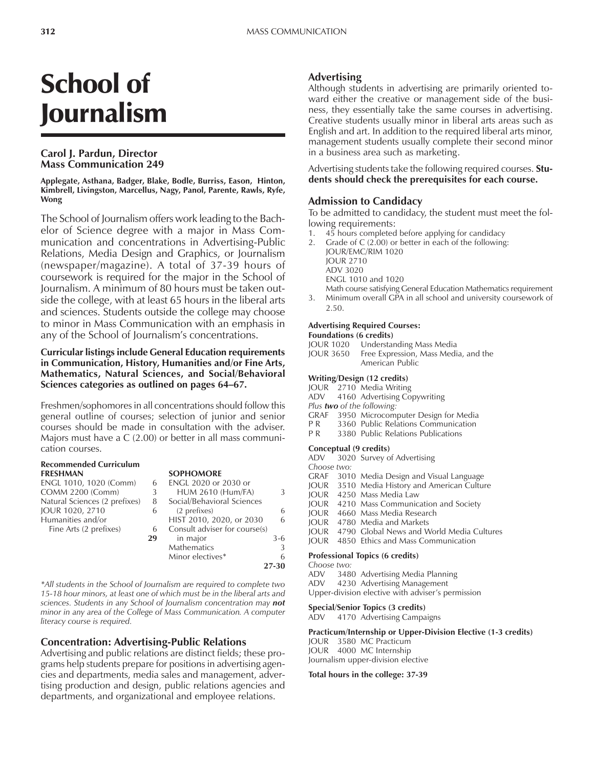# School of Journalism

# **Carol J. Pardun, Director Mass Communication 249**

**Applegate, Asthana, Badger, Blake, Bodle, Burriss, Eason, Hinton, Kimbrell, Livingston, Marcellus, Nagy, Panol, Parente, Rawls, Ryfe, Wong**

The School of Journalism offers work leading to the Bachelor of Science degree with a major in Mass Communication and concentrations in Advertising-Public Relations, Media Design and Graphics, or Journalism (newspaper/magazine). A total of 37-39 hours of coursework is required for the major in the School of Journalism. A minimum of 80 hours must be taken outside the college, with at least 65 hours in the liberal arts and sciences. Students outside the college may choose to minor in Mass Communication with an emphasis in any of the School of Journalism's concentrations.

#### **Curricular listings include General Education requirements in Communication, History, Humanities and/or Fine Arts, Mathematics, Natural Sciences, and Social/Behavioral** Sciences categories as outlined on pages 64–67.

Freshmen/sophomores in all concentrations should follow this general outline of courses; selection of junior and senior courses should be made in consultation with the adviser. Majors must have a C (2.00) or better in all mass communication courses.

| <b>Recommended Curriculum</b> |    |                               |       |
|-------------------------------|----|-------------------------------|-------|
| <b>FRESHMAN</b>               |    | <b>SOPHOMORE</b>              |       |
| ENGL 1010, 1020 (Comm)        | 6  | ENGL 2020 or 2030 or          |       |
| <b>COMM 2200 (Comm)</b>       | 3  | <b>HUM 2610 (Hum/FA)</b>      | 3     |
| Natural Sciences (2 prefixes) | 8  | Social/Behavioral Sciences    |       |
| JOUR 1020, 2710               | 6  | (2 prefixes)                  | 6     |
| Humanities and/or             |    | HIST 2010, 2020, or 2030      | 6     |
| Fine Arts (2 prefixes)        | 6  | Consult adviser for course(s) |       |
|                               | 29 | in major                      | 3-6   |
|                               |    | <b>Mathematics</b>            | 3     |
|                               |    | Minor electives*              | 6     |
|                               |    |                               | 27-30 |

*\*All students in the School of Journalism are required to complete two 15-18 hour minors, at least one of which must be in the liberal arts and sciences. Students in any School of Journalism concentration may not minor in any area of the College of Mass Communication. A computer literacy course is required.*

# **Concentration: Advertising-Public Relations**

Advertising and public relations are distinct fields; these programs help students prepare for positions in advertising agencies and departments, media sales and management, advertising production and design, public relations agencies and departments, and organizational and employee relations.

# **Advertising**

Although students in advertising are primarily oriented toward either the creative or management side of the business, they essentially take the same courses in advertising. Creative students usually minor in liberal arts areas such as English and art. In addition to the required liberal arts minor, management students usually complete their second minor in a business area such as marketing.

Advertising students take the following required courses. **Students should check the prerequisites for each course.**

# **Admission to Candidacy**

To be admitted to candidacy, the student must meet the following requirements:<br>1 45 hours completed

- 1. 45 hours completed before applying for candidacy
- 2. Grade of C (2.00) or better in each of the following: JOUR/EMC/RIM 1020 JOUR 2710 ADV 3020 ENGL 1010 and 1020

Math course satisfying General Education Mathematics requirement

3. Minimum overall GPA in all school and university coursework of 2.50.

#### **Advertising Required Courses: Foundations (6 credits)**

JOUR 1020 Understanding Mass Media

JOUR 3650 Free Expression, Mass Media, and the American Public

#### **Writing/Design (12 credits)**

JOUR 2710 Media Writing

- ADV 4160 Advertising Copywriting
- *Plus two of the following:*
- GRAF 3950 Microcomputer Design for Media<br>P.R. 3360 Public Relations Communication
- 3360 Public Relations Communication
- P R 3380 Public Relations Publications

**Conceptual (9 credits)** 3020 Survey of Advertising *Choose two:* GRAF 3010 Media Design and Visual Language JOUR 3510 Media History and American Culture JOUR 4250 Mass Media Law JOUR 4210 Mass Communication and Society JOUR 4660 Mass Media Research JOUR 4780 Media and Markets JOUR 4790 Global News and World Media Cultures JOUR 4850 Ethics and Mass Communication

# **Professional Topics (6 credits)**

*Choose two:* ADV 3480 Advertising Media Planning ADV 4230 Advertising Management

Upper-division elective with adviser's permission

#### **Special/Senior Topics (3 credits)**

ADV 4170 Advertising Campaigns

#### **Practicum/Internship or Upper-Division Elective (1-3 credits)**

JOUR 3580 MC Practicum JOUR 4000 MC Internship Journalism upper-division elective

#### **Total hours in the college: 37-39**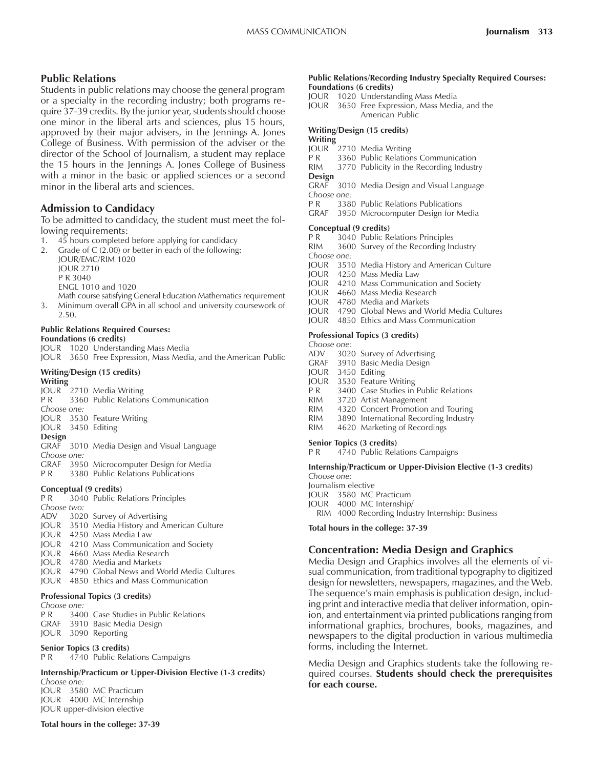# **Public Relations**

Students in public relations may choose the general program or a specialty in the recording industry; both programs require 37-39 credits. By the junior year, students should choose one minor in the liberal arts and sciences, plus 15 hours, approved by their major advisers, in the Jennings A. Jones College of Business. With permission of the adviser or the director of the School of Journalism, a student may replace the 15 hours in the Jennings A. Jones College of Business with a minor in the basic or applied sciences or a second minor in the liberal arts and sciences.

# **Admission to Candidacy**

To be admitted to candidacy, the student must meet the following requirements:

- 1. 45 hours completed before applying for candidacy
- 2. Grade of C (2.00) or better in each of the following: JOUR/EMC/RIM 1020

JOUR 2710 P R 3040

ENGL 1010 and 1020

Math course satisfying General Education Mathematics requirement

3. Minimum overall GPA in all school and university coursework of 2.50.

#### **Public Relations Required Courses: Foundations (6 credits)**

- JOUR 1020 Understanding Mass Media
- JOUR 3650 Free Expression, Mass Media, and the American Public

# **Writing/Design (15 credits)**

**Writing**

- JOUR 2710 Media Writing P R 3360 Public Relations Communication *Choose one:* JOUR 3530 Feature Writing JOUR 3450 Editing **Design** GRAF 3010 Media Design and Visual Language *Choose one:* GRAF 3950 Microcomputer Design for Media<br>PR 3380 Public Relations Publications
- 3380 Public Relations Publications

#### **Conceptual (9 credits)**

P R 3040 Public Relations Principles *Choose two:* ADV 3020 Survey of Advertising JOUR 3510 Media History and American Culture JOUR 4250 Mass Media Law JOUR 4210 Mass Communication and Society JOUR 4660 Mass Media Research JOUR 4780 Media and Markets JOUR 4790 Global News and World Media Cultures JOUR 4850 Ethics and Mass Communication

#### **Professional Topics (3 credits)**

*Choose one:*

| CHOOSE UITE. |  |                                                  |  |  |
|--------------|--|--------------------------------------------------|--|--|
|              |  | <b>P R</b> 3400 Case Studies in Public Relations |  |  |
|              |  | GRAF 3910 Basic Media Design                     |  |  |
|              |  | JOUR 3090 Reporting                              |  |  |

#### **Senior Topics (3 credits)**

P R 4740 Public Relations Campaigns

#### **Internship/Practicum or Upper-Division Elective (1-3 credits)** *Choose one:*

JOUR 3580 MC Practicum JOUR 4000 MC Internship JOUR upper-division elective

#### **Total hours in the college: 37-39**

#### **Public Relations/Recording Industry Specialty Required Courses: Foundations (6 credits)**

- JOUR 1020 Understanding Mass Media
- JOUR 3650 Free Expression, Mass Media, and the American Public

### **Writing/Design (15 credits)**

# **Writing**

- JOUR 2710 Media Writing<br>P R 3360 Public Relation
- 3360 Public Relations Communication
- RIM 3770 Publicity in the Recording Industry
- **Design**<br>GRAF 3010 Media Design and Visual Language *Choose one:*
- P R 3380 Public Relations Publications
- GRAF 3950 Microcomputer Design for Media

#### **Conceptual (9 credits)**

- 
- P R 3040 Public Relations Principles<br>RIM 3600 Survey of the Recording In 3600 Survey of the Recording Industry
- *Choose one:*
- JOUR 3510 Media History and American Culture
- JOUR 4250 Mass Media Law
- JOUR 4210 Mass Communication and Society
- JOUR 4660 Mass Media Research
- JOUR 4780 Media and Markets
- JOUR 4790 Global News and World Media Cultures
- JOUR 4850 Ethics and Mass Communication

# **Professional Topics (3 credits)**

- *Choose one:*
- ADV 3020 Survey of Advertising
- GRAF 3910 Basic Media Design
- JOUR 3450 Editing
- JOUR 3530 Feature Writing<br>P R 3400 Case Studies in
- 3400 Case Studies in Public Relations
- RIM 3720 Artist Management
- RIM 4320 Concert Promotion and Touring<br>RIM 3890 International Recording Industry
- 3890 International Recording Industry
- RIM 4620 Marketing of Recordings

#### **Senior Topics (3 credits)**

P R 4740 Public Relations Campaigns

#### **Internship/Practicum or Upper-Division Elective (1-3 credits)**

*Choose one:*

- Journalism elective
- JOUR 3580 MC Practicum
- JOUR 4000 MC Internship/
- RIM 4000 Recording Industry Internship: Business

#### **Total hours in the college: 37-39**

# **Concentration: Media Design and Graphics**

Media Design and Graphics involves all the elements of visual communication, from traditional typography to digitized design for newsletters, newspapers, magazines, and the Web. The sequence's main emphasis is publication design, including print and interactive media that deliver information, opinion, and entertainment via printed publications ranging from informational graphics, brochures, books, magazines, and newspapers to the digital production in various multimedia forms, including the Internet.

Media Design and Graphics students take the following required courses. **Students should check the prerequisites for each course.**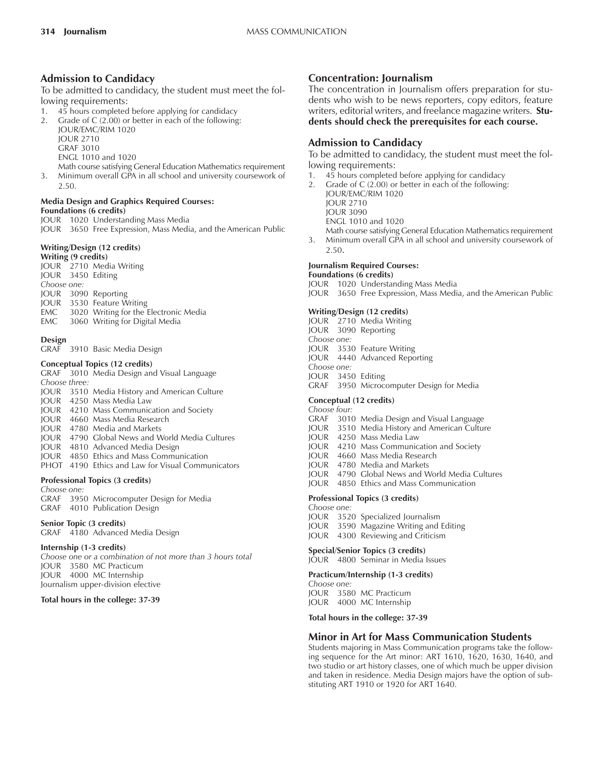# **Admission to Candidacy**

To be admitted to candidacy, the student must meet the following requirements:

- 1. 45 hours completed before applying for candidacy
- 2. Grade of C (2.00) or better in each of the following:
	- JOUR/EMC/RIM 1020
	- JOUR 2710
	- GRAF 3010
	- ENGL 1010 and 1020
- Math course satisfying General Education Mathematics requirement 3. Minimum overall GPA in all school and university coursework of
- 2.50.

#### **Media Design and Graphics Required Courses: Foundations (6 credits)**

- JOUR 1020 Understanding Mass Media
- JOUR 3650 Free Expression, Mass Media, and the American Public

#### **Writing/Design (12 credits) Writing (9 credits)**

JOUR 2710 Media Writing JOUR 3450 Editing *Choose one:* JOUR 3090 Reporting JOUR 3530 Feature Writing EMC 3020 Writing for the Electronic Media EMC 3060 Writing for Digital Media

#### **Design**

GRAF 3910 Basic Media Design

#### **Conceptual Topics (12 credits)**

GRAF 3010 Media Design and Visual Language *Choose three:* JOUR 3510 Media History and American Culture JOUR 4250 Mass Media Law JOUR 4210 Mass Communication and Society JOUR 4660 Mass Media Research JOUR 4780 Media and Markets JOUR 4790 Global News and World Media Cultures JOUR 4810 Advanced Media Design

- JOUR 4850 Ethics and Mass Communication
- PHOT 4190 Ethics and Law for Visual Communicators

#### **Professional Topics (3 credits)**

*Choose one:*

GRAF 3950 Microcomputer Design for Media GRAF 4010 Publication Design

#### **Senior Topic (3 credits)**

GRAF 4180 Advanced Media Design

#### **Internship (1-3 credits)**

*Choose one or a combination of not more than 3 hours total* JOUR 3580 MC Practicum JOUR 4000 MC Internship Journalism upper-division elective

#### **Total hours in the college: 37-39**

# **Concentration: Journalism**

The concentration in Journalism offers preparation for students who wish to be news reporters, copy editors, feature writers, editorial writers, and freelance magazine writers. **Students should check the prerequisites for each course.**

# **Admission to Candidacy**

To be admitted to candidacy, the student must meet the following requirements:

- 1. 45 hours completed before applying for candidacy
- 2. Grade of C (2.00) or better in each of the following:
- JOUR/EMC/RIM 1020 JOUR 2710 JOUR 3090 ENGL 1010 and 1020 Math course satisfying General Education Mathematics requirement
- 3. Minimum overall GPA in all school and university coursework of 2.50.

# **Journalism Required Courses:**

#### **Foundations (6 credits)**

JOUR 1020 Understanding Mass Media

JOUR 3650 Free Expression, Mass Media, and the American Public

#### **Writing/Design (12 credits)**

- JOUR 2710 Media Writing JOUR 3090 Reporting *Choose one:*
- JOUR 3530 Feature Writing
- JOUR 4440 Advanced Reporting
- *Choose one:* JOUR 3450 Editing
- GRAF 3950 Microcomputer Design for Media

#### **Conceptual (12 credits)**

- *Choose four:*
- GRAF 3010 Media Design and Visual Language
- JOUR 3510 Media History and American Culture
- JOUR 4250 Mass Media Law
- JOUR 4210 Mass Communication and Society
- JOUR 4660 Mass Media Research
- JOUR 4780 Media and Markets
- JOUR 4790 Global News and World Media Cultures
- JOUR 4850 Ethics and Mass Communication

#### **Professional Topics (3 credits)**

- *Choose one:*
- JOUR 3520 Specialized Journalism
- JOUR 3590 Magazine Writing and Editing
- JOUR 4300 Reviewing and Criticism

#### **Special/Senior Topics (3 credits)**

JOUR 4800 Seminar in Media Issues

# **Practicum/Internship (1-3 credits)**

*Choose one:* JOUR 3580 MC Practicum

JOUR 4000 MC Internship

**Total hours in the college: 37-39**

#### **Minor in Art for Mass Communication Students**

Students majoring in Mass Communication programs take the following sequence for the Art minor: ART 1610, 1620, 1630, 1640, and two studio or art history classes, one of which much be upper division and taken in residence. Media Design majors have the option of substituting ART 1910 or 1920 for ART 1640.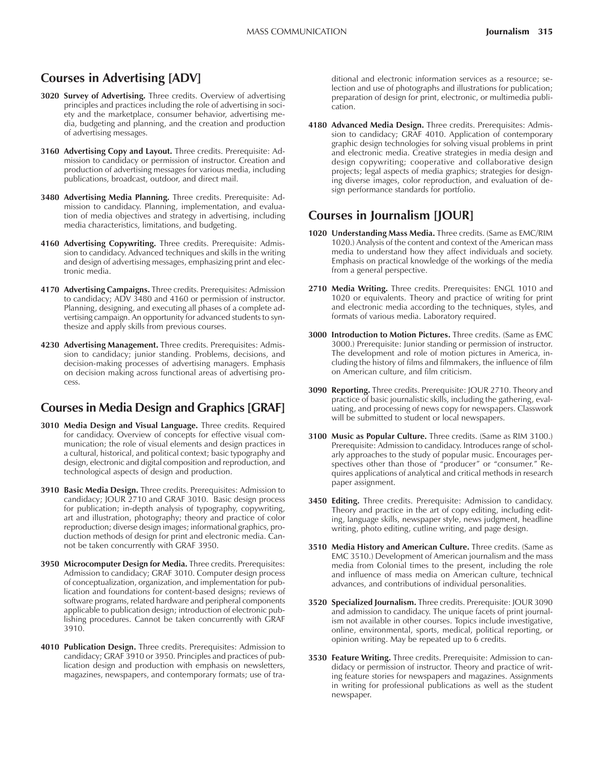# **Courses in Advertising [ADV]**

- **3020 Survey of Advertising.** Three credits. Overview of advertising principles and practices including the role of advertising in society and the marketplace, consumer behavior, advertising media, budgeting and planning, and the creation and production of advertising messages.
- **3160 Advertising Copy and Layout.** Three credits. Prerequisite: Admission to candidacy or permission of instructor. Creation and production of advertising messages for various media, including publications, broadcast, outdoor, and direct mail.
- **3480 Advertising Media Planning.** Three credits. Prerequisite: Admission to candidacy. Planning, implementation, and evaluation of media objectives and strategy in advertising, including media characteristics, limitations, and budgeting.
- **4160 Advertising Copywriting.** Three credits. Prerequisite: Admission to candidacy. Advanced techniques and skills in the writing and design of advertising messages, emphasizing print and electronic media.
- **4170 Advertising Campaigns.** Three credits. Prerequisites: Admission to candidacy; ADV 3480 and 4160 or permission of instructor. Planning, designing, and executing all phases of a complete advertising campaign. An opportunity for advanced students to synthesize and apply skills from previous courses.
- **4230 Advertising Management.** Three credits. Prerequisites: Admission to candidacy; junior standing. Problems, decisions, and decision-making processes of advertising managers. Emphasis on decision making across functional areas of advertising process.

# **Courses in Media Design and Graphics [GRAF]**

- **3010 Media Design and Visual Language.** Three credits. Required for candidacy. Overview of concepts for effective visual communication; the role of visual elements and design practices in a cultural, historical, and political context; basic typography and design, electronic and digital composition and reproduction, and technological aspects of design and production.
- **3910 Basic Media Design.** Three credits. Prerequisites: Admission to candidacy; JOUR 2710 and GRAF 3010. Basic design process for publication; in-depth analysis of typography, copywriting, art and illustration, photography; theory and practice of color reproduction; diverse design images; informational graphics, production methods of design for print and electronic media. Cannot be taken concurrently with GRAF 3950.
- **3950 Microcomputer Design for Media.** Three credits. Prerequisites: Admission to candidacy; GRAF 3010. Computer design process of conceptualization, organization, and implementation for publication and foundations for content-based designs; reviews of software programs, related hardware and peripheral components applicable to publication design; introduction of electronic publishing procedures. Cannot be taken concurrently with GRAF 3910.
- **4010 Publication Design.** Three credits. Prerequisites: Admission to candidacy; GRAF 3910 or 3950. Principles and practices of publication design and production with emphasis on newsletters, magazines, newspapers, and contemporary formats; use of tra-

ditional and electronic information services as a resource; selection and use of photographs and illustrations for publication; preparation of design for print, electronic, or multimedia publication.

**4180 Advanced Media Design.** Three credits. Prerequisites: Admission to candidacy; GRAF 4010. Application of contemporary graphic design technologies for solving visual problems in print and electronic media. Creative strategies in media design and design copywriting; cooperative and collaborative design projects; legal aspects of media graphics; strategies for designing diverse images, color reproduction, and evaluation of design performance standards for portfolio.

# **Courses in Journalism [JOUR]**

- **1020 Understanding Mass Media.** Three credits. (Same as EMC/RIM 1020.) Analysis of the content and context of the American mass media to understand how they affect individuals and society. Emphasis on practical knowledge of the workings of the media from a general perspective.
- **2710 Media Writing.** Three credits. Prerequisites: ENGL 1010 and 1020 or equivalents. Theory and practice of writing for print and electronic media according to the techniques, styles, and formats of various media. Laboratory required.
- **3000 Introduction to Motion Pictures.** Three credits. (Same as EMC 3000.) Prerequisite: Junior standing or permission of instructor. The development and role of motion pictures in America, including the history of films and filmmakers, the influence of film on American culture, and film criticism.
- **3090 Reporting.** Three credits. Prerequisite: JOUR 2710. Theory and practice of basic journalistic skills, including the gathering, evaluating, and processing of news copy for newspapers. Classwork will be submitted to student or local newspapers.
- **3100 Music as Popular Culture.** Three credits. (Same as RIM 3100.) Prerequisite: Admission to candidacy. Introduces range of scholarly approaches to the study of popular music. Encourages perspectives other than those of "producer" or "consumer." Requires applications of analytical and critical methods in research paper assignment.
- **3450 Editing.** Three credits. Prerequisite: Admission to candidacy. Theory and practice in the art of copy editing, including editing, language skills, newspaper style, news judgment, headline writing, photo editing, cutline writing, and page design.
- **3510 Media History and American Culture.** Three credits. (Same as EMC 3510.) Development of American journalism and the mass media from Colonial times to the present, including the role and influence of mass media on American culture, technical advances, and contributions of individual personalities.
- **3520 Specialized Journalism.** Three credits. Prerequisite: JOUR 3090 and admission to candidacy. The unique facets of print journalism not available in other courses. Topics include investigative, online, environmental, sports, medical, political reporting, or opinion writing. May be repeated up to 6 credits.
- **3530 Feature Writing.** Three credits. Prerequisite: Admission to candidacy or permission of instructor. Theory and practice of writing feature stories for newspapers and magazines. Assignments in writing for professional publications as well as the student newspaper.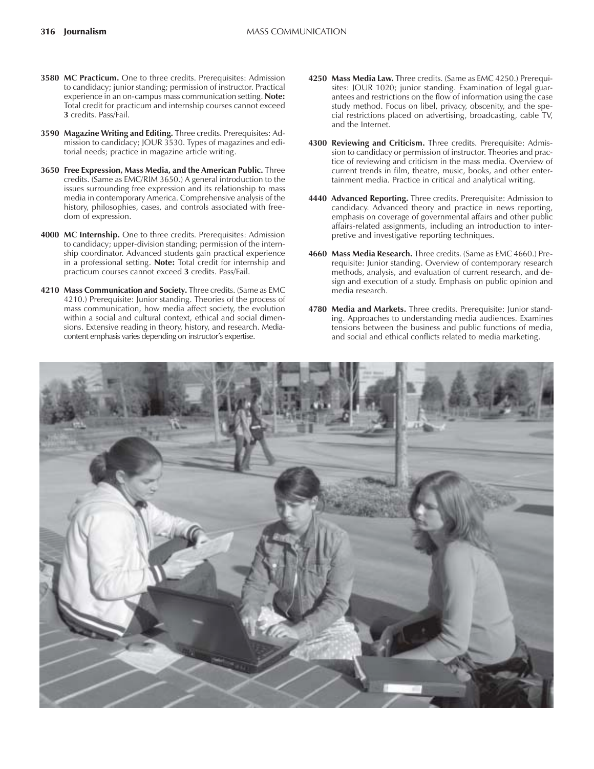- **3580 MC Practicum.** One to three credits. Prerequisites: Admission to candidacy; junior standing; permission of instructor. Practical experience in an on-campus mass communication setting. **Note:** Total credit for practicum and internship courses cannot exceed **3** credits. Pass/Fail.
- **3590 Magazine Writing and Editing.** Three credits. Prerequisites: Admission to candidacy; JOUR 3530. Types of magazines and editorial needs; practice in magazine article writing.
- **3650 Free Expression, Mass Media, and the American Public.** Three credits. (Same as EMC/RIM 3650.) A general introduction to the issues surrounding free expression and its relationship to mass media in contemporary America. Comprehensive analysis of the history, philosophies, cases, and controls associated with freedom of expression.
- **4000 MC Internship.** One to three credits. Prerequisites: Admission to candidacy; upper-division standing; permission of the internship coordinator. Advanced students gain practical experience in a professional setting. **Note:** Total credit for internship and practicum courses cannot exceed **3** credits. Pass/Fail.
- **4210 Mass Communication and Society.** Three credits. (Same as EMC 4210.) Prerequisite: Junior standing. Theories of the process of mass communication, how media affect society, the evolution within a social and cultural context, ethical and social dimensions. Extensive reading in theory, history, and research. Mediacontent emphasis varies depending on instructor's expertise.
- **4250 Mass Media Law.** Three credits. (Same as EMC 4250.) Prerequisites: JOUR 1020; junior standing. Examination of legal guarantees and restrictions on the flow of information using the case study method. Focus on libel, privacy, obscenity, and the special restrictions placed on advertising, broadcasting, cable TV, and the Internet.
- **4300 Reviewing and Criticism.** Three credits. Prerequisite: Admission to candidacy or permission of instructor. Theories and practice of reviewing and criticism in the mass media. Overview of current trends in film, theatre, music, books, and other entertainment media. Practice in critical and analytical writing.
- **4440 Advanced Reporting.** Three credits. Prerequisite: Admission to candidacy. Advanced theory and practice in news reporting, emphasis on coverage of governmental affairs and other public affairs-related assignments, including an introduction to interpretive and investigative reporting techniques.
- **4660 Mass Media Research.** Three credits. (Same as EMC 4660.) Prerequisite: Junior standing. Overview of contemporary research methods, analysis, and evaluation of current research, and design and execution of a study. Emphasis on public opinion and media research.
- **4780 Media and Markets.** Three credits. Prerequisite: Junior standing. Approaches to understanding media audiences. Examines tensions between the business and public functions of media, and social and ethical conflicts related to media marketing.